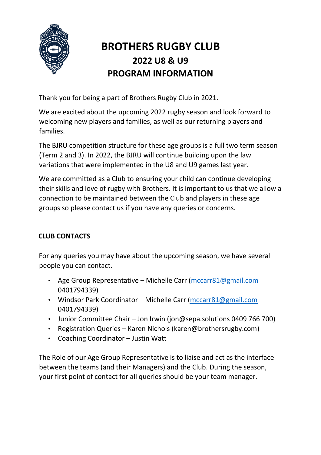

# **BROTHERS RUGBY CLUB 2022 U8 & U9 PROGRAM INFORMATION**

Thank you for being a part of Brothers Rugby Club in 2021.

We are excited about the upcoming 2022 rugby season and look forward to welcoming new players and families, as well as our returning players and families.

The BJRU competition structure for these age groups is a full two term season (Term 2 and 3). In 2022, the BJRU will continue building upon the law variations that were implemented in the U8 and U9 games last year.

We are committed as a Club to ensuring your child can continue developing their skills and love of rugby with Brothers. It is important to us that we allow a connection to be maintained between the Club and players in these age groups so please contact us if you have any queries or concerns.

# **CLUB CONTACTS**

For any queries you may have about the upcoming season, we have several people you can contact.

- Age Group Representative Michelle Carr [\(mccarr81@gmail.com](mailto:mccarr81@gmail.com) 0401794339)
- Windsor Park Coordinator Michelle Carr [\(mccarr81@gmail.com](mailto:mccarr81@gmail.com) 0401794339)
- Junior Committee Chair Jon Irwin (jon@sepa.solutions 0409 766 700)
- Registration Queries Karen Nichols (karen@brothersrugby.com)
- Coaching Coordinator Justin Watt

The Role of our Age Group Representative is to liaise and act as the interface between the teams (and their Managers) and the Club. During the season, your first point of contact for all queries should be your team manager.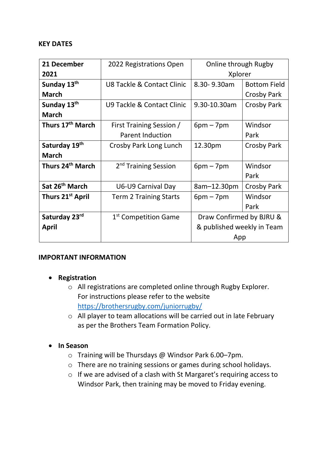#### **KEY DATES**

| 21 December                  | 2022 Registrations Open               | Online through Rugby       |                     |
|------------------------------|---------------------------------------|----------------------------|---------------------|
| 2021                         |                                       | Xplorer                    |                     |
| Sunday 13th                  | <b>U8 Tackle &amp; Contact Clinic</b> | 8.30-9.30am                | <b>Bottom Field</b> |
| <b>March</b>                 |                                       |                            | Crosby Park         |
| Sunday 13th                  | U9 Tackle & Contact Clinic            | 9.30-10.30am               | Crosby Park         |
| <b>March</b>                 |                                       |                            |                     |
| Thurs 17 <sup>th</sup> March | First Training Session /              | $6pm - 7pm$                | Windsor             |
|                              | <b>Parent Induction</b>               |                            | Park                |
| Saturday 19th                | Crosby Park Long Lunch                | 12.30pm                    | Crosby Park         |
| <b>March</b>                 |                                       |                            |                     |
| Thurs 24 <sup>th</sup> March | 2 <sup>nd</sup> Training Session      | $6pm - 7pm$                | Windsor             |
|                              |                                       |                            | Park                |
| Sat 26 <sup>th</sup> March   | U6-U9 Carnival Day                    | 8am-12.30pm                | <b>Crosby Park</b>  |
| Thurs 21 <sup>st</sup> April | <b>Term 2 Training Starts</b>         | $6pm - 7pm$                | Windsor             |
|                              |                                       |                            | Park                |
| Saturday 23rd                | 1 <sup>st</sup> Competition Game      | Draw Confirmed by BJRU &   |                     |
| April                        |                                       | & published weekly in Team |                     |
|                              |                                       | App                        |                     |

#### **IMPORTANT INFORMATION**

#### • **Registration**

- o All registrations are completed online through Rugby Explorer. For instructions please refer to the website <https://brothersrugby.com/juniorrugby/>
- o All player to team allocations will be carried out in late February as per the Brothers Team Formation Policy.

#### • **In Season**

- o Training will be Thursdays @ Windsor Park 6.00–7pm.
- o There are no training sessions or games during school holidays.
- o If we are advised of a clash with St Margaret's requiring access to Windsor Park, then training may be moved to Friday evening.